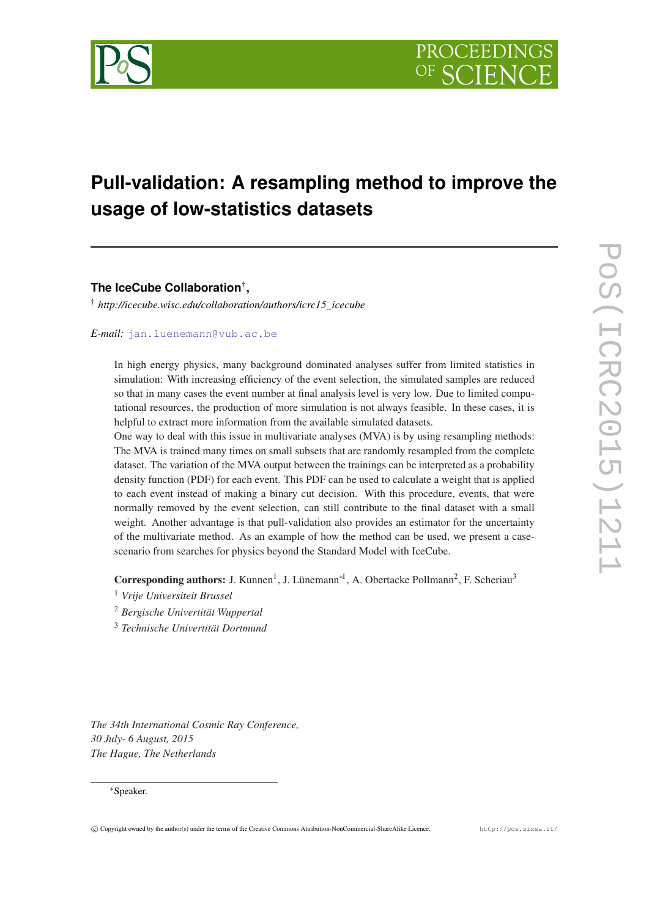

# **Pull-validation: A resampling method to improve the usage of low-statistics datasets**

# **The IceCube Collaboration**† **,**

† *http://icecube.wisc.edu/collaboration/authors/icrc15\_icecube*

#### *E-mail:* [jan.luenemann@vub.ac.be](mailto:jan.luenemann@vub.ac.be)

In high energy physics, many background dominated analyses suffer from limited statistics in simulation: With increasing efficiency of the event selection, the simulated samples are reduced so that in many cases the event number at final analysis level is very low. Due to limited computational resources, the production of more simulation is not always feasible. In these cases, it is helpful to extract more information from the available simulated datasets.

One way to deal with this issue in multivariate analyses (MVA) is by using resampling methods: The MVA is trained many times on small subsets that are randomly resampled from the complete dataset. The variation of the MVA output between the trainings can be interpreted as a probability density function (PDF) for each event. This PDF can be used to calculate a weight that is applied to each event instead of making a binary cut decision. With this procedure, events, that were normally removed by the event selection, can still contribute to the final dataset with a small weight. Another advantage is that pull-validation also provides an estimator for the uncertainty of the multivariate method. As an example of how the method can be used, we present a casescenario from searches for physics beyond the Standard Model with IceCube.

Corresponding authors: J. Kunnen<sup>1</sup>, J. Lünemann<sup>\*1</sup>, A. Obertacke Pollmann<sup>2</sup>, F. Scheriau<sup>3</sup>

- <sup>1</sup> *Vrije Universiteit Brussel*
- <sup>2</sup> *Bergische Univertität Wuppertal*
- <sup>3</sup> *Technische Univertität Dortmund*

*The 34th International Cosmic Ray Conference, 30 July- 6 August, 2015 The Hague, The Netherlands*

# <sup>∗</sup>Speaker.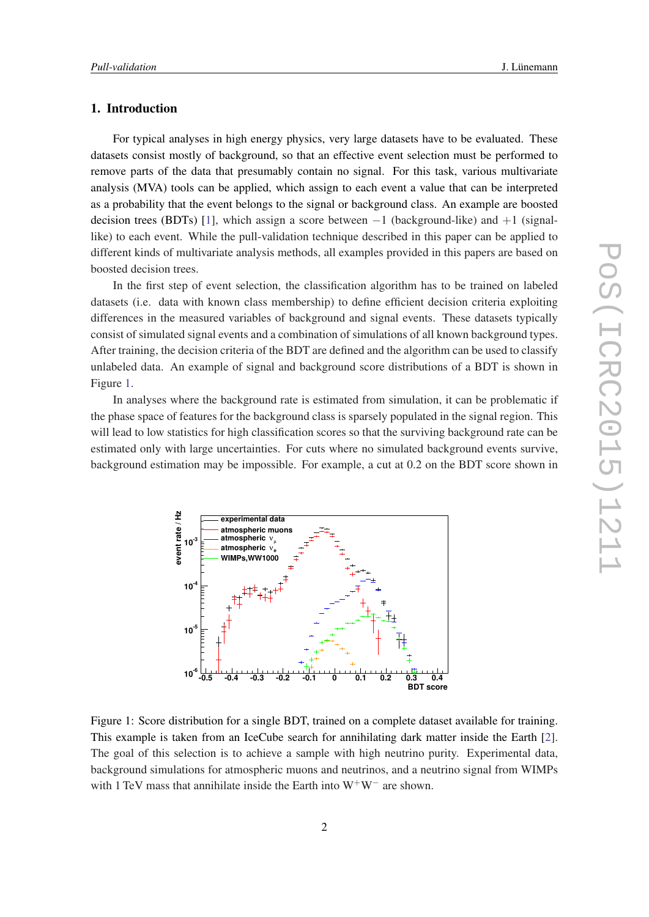# <span id="page-1-0"></span>1. Introduction

For typical analyses in high energy physics, very large datasets have to be evaluated. These datasets consist mostly of background, so that an effective event selection must be performed to remove parts of the data that presumably contain no signal. For this task, various multivariate analysis (MVA) tools can be applied, which assign to each event a value that can be interpreted as a probability that the event belongs to the signal or background class. An example are boosted decision trees (BDTs) [[1\]](#page-7-0), which assign a score between  $-1$  (background-like) and  $+1$  (signallike) to each event. While the pull-validation technique described in this paper can be applied to different kinds of multivariate analysis methods, all examples provided in this papers are based on boosted decision trees.

In the first step of event selection, the classification algorithm has to be trained on labeled datasets (i.e. data with known class membership) to define efficient decision criteria exploiting differences in the measured variables of background and signal events. These datasets typically consist of simulated signal events and a combination of simulations of all known background types. After training, the decision criteria of the BDT are defined and the algorithm can be used to classify unlabeled data. An example of signal and background score distributions of a BDT is shown in Figure 1.

In analyses where the background rate is estimated from simulation, it can be problematic if the phase space of features for the background class is sparsely populated in the signal region. This will lead to low statistics for high classification scores so that the surviving background rate can be estimated only with large uncertainties. For cuts where no simulated background events survive, background estimation may be impossible. For example, a cut at 0.2 on the BDT score shown in



Figure 1: Score distribution for a single BDT, trained on a complete dataset available for training. This example is taken from an IceCube search for annihilating dark matter inside the Earth [\[2\]](#page-7-0). The goal of this selection is to achieve a sample with high neutrino purity. Experimental data, background simulations for atmospheric muons and neutrinos, and a neutrino signal from WIMPs with 1 TeV mass that annihilate inside the Earth into W<sup>+</sup>W<sup>−</sup> are shown.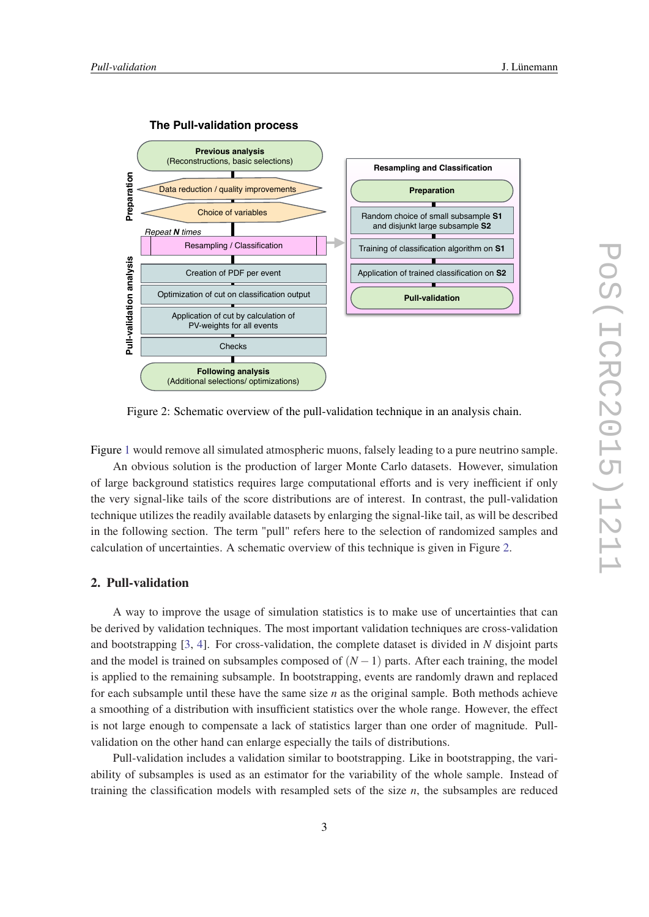

Figure 2: Schematic overview of the pull-validation technique in an analysis chain.

(Additional selections/ optimizations)

Figure [1](#page-1-0) would remove all simulated atmospheric muons, falsely leading to a pure neutrino sample.

An obvious solution is the production of larger Monte Carlo datasets. However, simulation of large background statistics requires large computational efforts and is very inefficient if only the very signal-like tails of the score distributions are of interest. In contrast, the pull-validation technique utilizes the readily available datasets by enlarging the signal-like tail, as will be described in the following section. The term "pull" refers here to the selection of randomized samples and calculation of uncertainties. A schematic overview of this technique is given in Figure 2.

# 2. Pull-validation

A way to improve the usage of simulation statistics is to make use of uncertainties that can be derived by validation techniques. The most important validation techniques are cross-validation and bootstrapping [\[3,](#page-7-0) [4](#page-7-0)]. For cross-validation, the complete dataset is divided in *N* disjoint parts and the model is trained on subsamples composed of  $(N-1)$  parts. After each training, the model is applied to the remaining subsample. In bootstrapping, events are randomly drawn and replaced for each subsample until these have the same size *n* as the original sample. Both methods achieve a smoothing of a distribution with insufficient statistics over the whole range. However, the effect is not large enough to compensate a lack of statistics larger than one order of magnitude. Pullvalidation on the other hand can enlarge especially the tails of distributions.

Pull-validation includes a validation similar to bootstrapping. Like in bootstrapping, the variability of subsamples is used as an estimator for the variability of the whole sample. Instead of training the classification models with resampled sets of the size *n*, the subsamples are reduced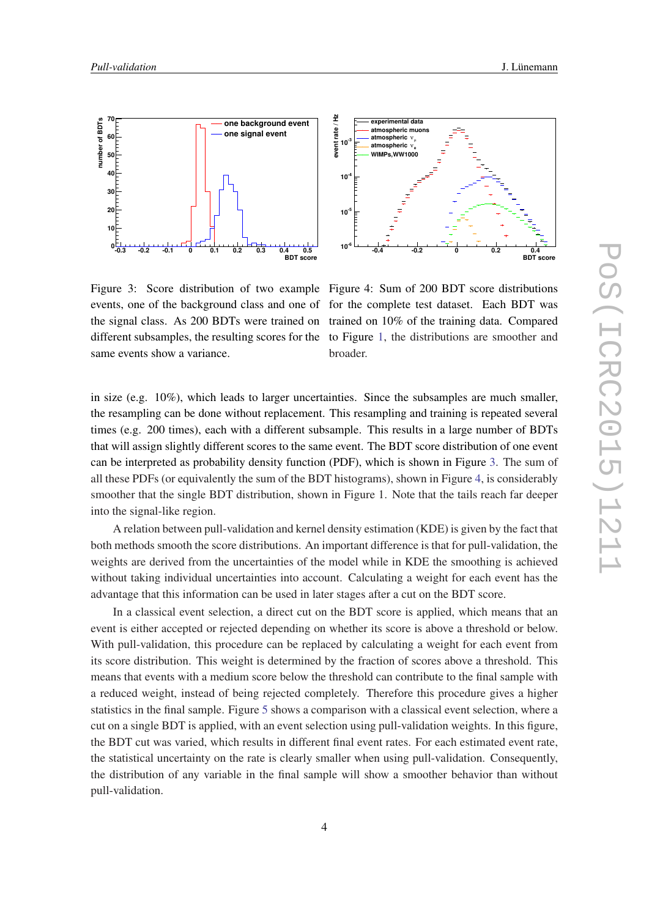



Figure 3: Score distribution of two example events, one of the background class and one of the signal class. As 200 BDTs were trained on different subsamples, the resulting scores for the same events show a variance.

Figure 4: Sum of 200 BDT score distributions for the complete test dataset. Each BDT was trained on 10% of the training data. Compared to Figure [1](#page-1-0), the distributions are smoother and broader.

in size (e.g. 10%), which leads to larger uncertainties. Since the subsamples are much smaller, the resampling can be done without replacement. This resampling and training is repeated several times (e.g. 200 times), each with a different subsample. This results in a large number of BDTs that will assign slightly different scores to the same event. The BDT score distribution of one event can be interpreted as probability density function (PDF), which is shown in Figure 3. The sum of all these PDFs (or equivalently the sum of the BDT histograms), shown in Figure 4, is considerably smoother that the single BDT distribution, shown in Figure 1. Note that the tails reach far deeper into the signal-like region.

A relation between pull-validation and kernel density estimation (KDE) is given by the fact that both methods smooth the score distributions. An important difference is that for pull-validation, the weights are derived from the uncertainties of the model while in KDE the smoothing is achieved without taking individual uncertainties into account. Calculating a weight for each event has the advantage that this information can be used in later stages after a cut on the BDT score.

In a classical event selection, a direct cut on the BDT score is applied, which means that an event is either accepted or rejected depending on whether its score is above a threshold or below. With pull-validation, this procedure can be replaced by calculating a weight for each event from its score distribution. This weight is determined by the fraction of scores above a threshold. This means that events with a medium score below the threshold can contribute to the final sample with a reduced weight, instead of being rejected completely. Therefore this procedure gives a higher statistics in the final sample. Figure [5](#page-4-0) shows a comparison with a classical event selection, where a cut on a single BDT is applied, with an event selection using pull-validation weights. In this figure, the BDT cut was varied, which results in different final event rates. For each estimated event rate, the statistical uncertainty on the rate is clearly smaller when using pull-validation. Consequently, the distribution of any variable in the final sample will show a smoother behavior than without pull-validation.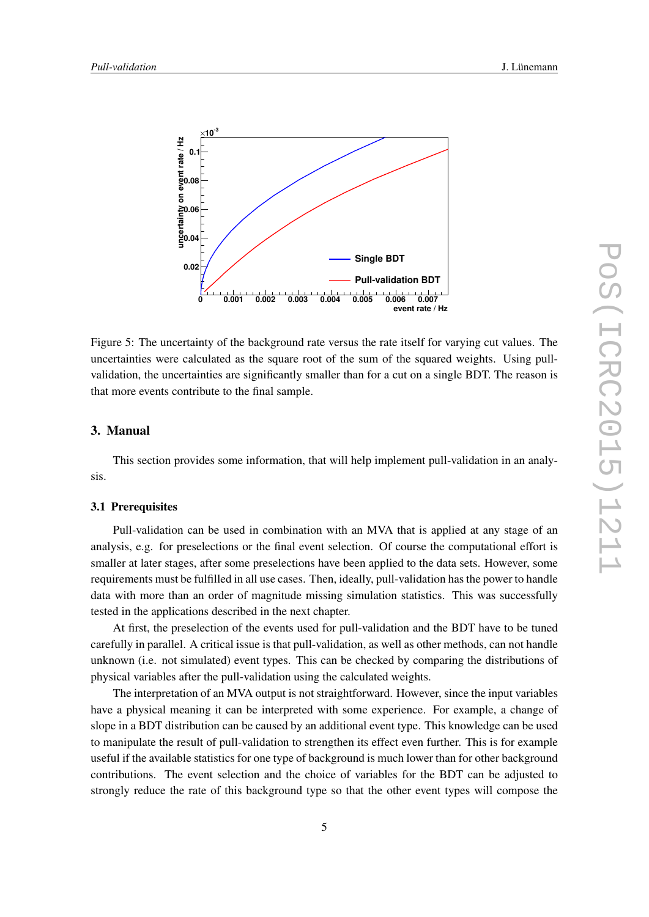<span id="page-4-0"></span>

Figure 5: The uncertainty of the background rate versus the rate itself for varying cut values. The uncertainties were calculated as the square root of the sum of the squared weights. Using pullvalidation, the uncertainties are significantly smaller than for a cut on a single BDT. The reason is that more events contribute to the final sample.

### 3. Manual

This section provides some information, that will help implement pull-validation in an analysis.

## 3.1 Prerequisites

Pull-validation can be used in combination with an MVA that is applied at any stage of an analysis, e.g. for preselections or the final event selection. Of course the computational effort is smaller at later stages, after some preselections have been applied to the data sets. However, some requirements must be fulfilled in all use cases. Then, ideally, pull-validation has the power to handle data with more than an order of magnitude missing simulation statistics. This was successfully tested in the applications described in the next chapter.

At first, the preselection of the events used for pull-validation and the BDT have to be tuned carefully in parallel. A critical issue is that pull-validation, as well as other methods, can not handle unknown (i.e. not simulated) event types. This can be checked by comparing the distributions of physical variables after the pull-validation using the calculated weights.

The interpretation of an MVA output is not straightforward. However, since the input variables have a physical meaning it can be interpreted with some experience. For example, a change of slope in a BDT distribution can be caused by an additional event type. This knowledge can be used to manipulate the result of pull-validation to strengthen its effect even further. This is for example useful if the available statistics for one type of background is much lower than for other background contributions. The event selection and the choice of variables for the BDT can be adjusted to strongly reduce the rate of this background type so that the other event types will compose the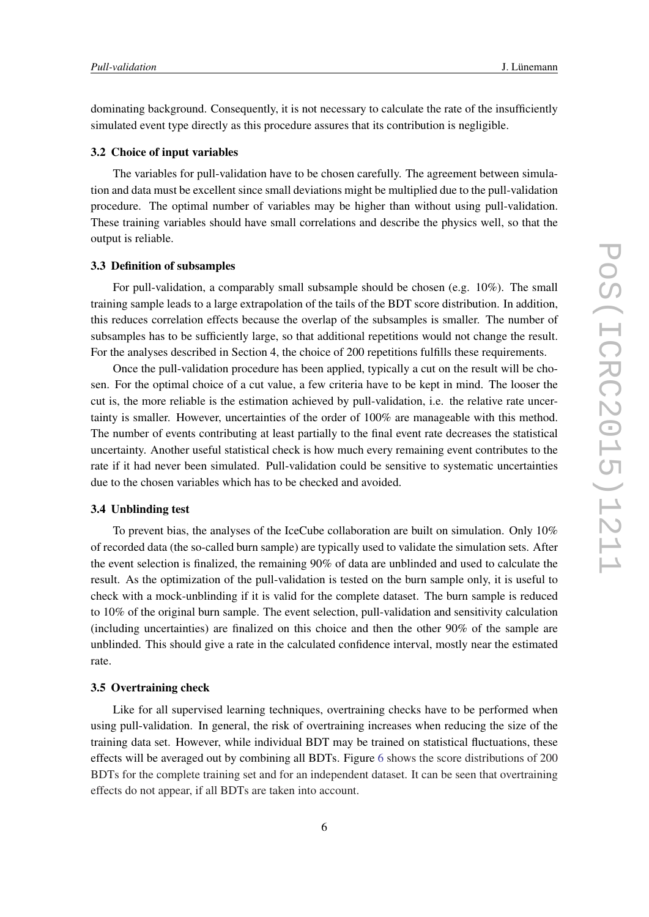dominating background. Consequently, it is not necessary to calculate the rate of the insufficiently simulated event type directly as this procedure assures that its contribution is negligible.

#### 3.2 Choice of input variables

The variables for pull-validation have to be chosen carefully. The agreement between simulation and data must be excellent since small deviations might be multiplied due to the pull-validation procedure. The optimal number of variables may be higher than without using pull-validation. These training variables should have small correlations and describe the physics well, so that the output is reliable.

#### 3.3 Definition of subsamples

For pull-validation, a comparably small subsample should be chosen (e.g. 10%). The small training sample leads to a large extrapolation of the tails of the BDT score distribution. In addition, this reduces correlation effects because the overlap of the subsamples is smaller. The number of subsamples has to be sufficiently large, so that additional repetitions would not change the result. For the analyses described in Section 4, the choice of 200 repetitions fulfills these requirements.

Once the pull-validation procedure has been applied, typically a cut on the result will be chosen. For the optimal choice of a cut value, a few criteria have to be kept in mind. The looser the cut is, the more reliable is the estimation achieved by pull-validation, i.e. the relative rate uncertainty is smaller. However, uncertainties of the order of 100% are manageable with this method. The number of events contributing at least partially to the final event rate decreases the statistical uncertainty. Another useful statistical check is how much every remaining event contributes to the rate if it had never been simulated. Pull-validation could be sensitive to systematic uncertainties due to the chosen variables which has to be checked and avoided.

#### 3.4 Unblinding test

To prevent bias, the analyses of the IceCube collaboration are built on simulation. Only 10% of recorded data (the so-called burn sample) are typically used to validate the simulation sets. After the event selection is finalized, the remaining 90% of data are unblinded and used to calculate the result. As the optimization of the pull-validation is tested on the burn sample only, it is useful to check with a mock-unblinding if it is valid for the complete dataset. The burn sample is reduced to 10% of the original burn sample. The event selection, pull-validation and sensitivity calculation (including uncertainties) are finalized on this choice and then the other 90% of the sample are unblinded. This should give a rate in the calculated confidence interval, mostly near the estimated rate.

#### 3.5 Overtraining check

Like for all supervised learning techniques, overtraining checks have to be performed when using pull-validation. In general, the risk of overtraining increases when reducing the size of the training data set. However, while individual BDT may be trained on statistical fluctuations, these effects will be averaged out by combining all BDTs. Figure [6](#page-6-0) shows the score distributions of 200 BDTs for the complete training set and for an independent dataset. It can be seen that overtraining effects do not appear, if all BDTs are taken into account.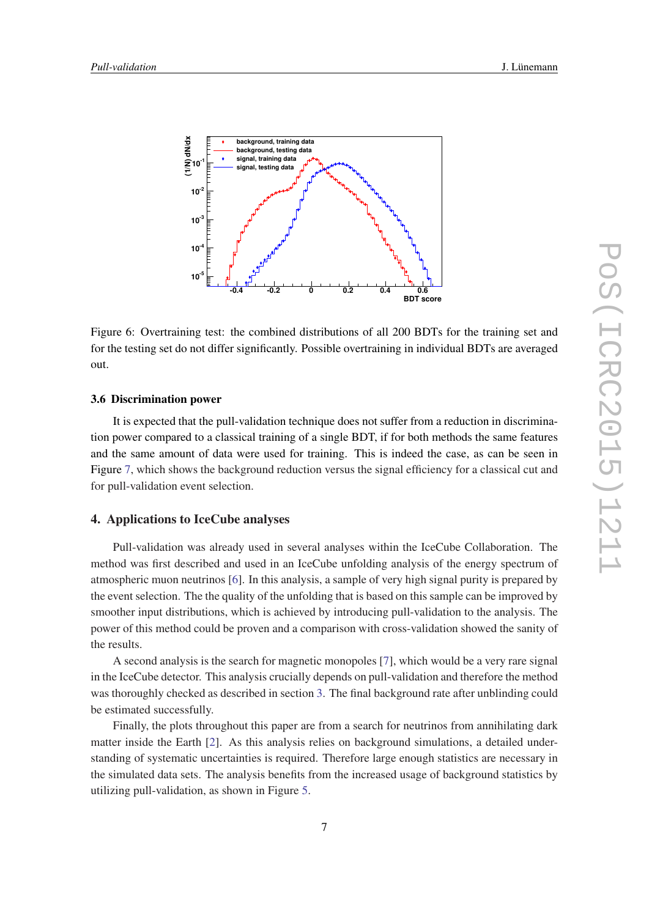<span id="page-6-0"></span>

Figure 6: Overtraining test: the combined distributions of all 200 BDTs for the training set and for the testing set do not differ significantly. Possible overtraining in individual BDTs are averaged out.

#### 3.6 Discrimination power

It is expected that the pull-validation technique does not suffer from a reduction in discrimination power compared to a classical training of a single BDT, if for both methods the same features and the same amount of data were used for training. This is indeed the case, as can be seen in Figure [7,](#page-7-0) which shows the background reduction versus the signal efficiency for a classical cut and for pull-validation event selection.

### 4. Applications to IceCube analyses

Pull-validation was already used in several analyses within the IceCube Collaboration. The method was first described and used in an IceCube unfolding analysis of the energy spectrum of atmospheric muon neutrinos [\[6](#page-7-0)]. In this analysis, a sample of very high signal purity is prepared by the event selection. The the quality of the unfolding that is based on this sample can be improved by smoother input distributions, which is achieved by introducing pull-validation to the analysis. The power of this method could be proven and a comparison with cross-validation showed the sanity of the results.

A second analysis is the search for magnetic monopoles [[7](#page-7-0)], which would be a very rare signal in the IceCube detector. This analysis crucially depends on pull-validation and therefore the method was thoroughly checked as described in section [3](#page-4-0). The final background rate after unblinding could be estimated successfully.

Finally, the plots throughout this paper are from a search for neutrinos from annihilating dark matter inside the Earth [\[2\]](#page-7-0). As this analysis relies on background simulations, a detailed understanding of systematic uncertainties is required. Therefore large enough statistics are necessary in the simulated data sets. The analysis benefits from the increased usage of background statistics by utilizing pull-validation, as shown in Figure [5](#page-4-0).